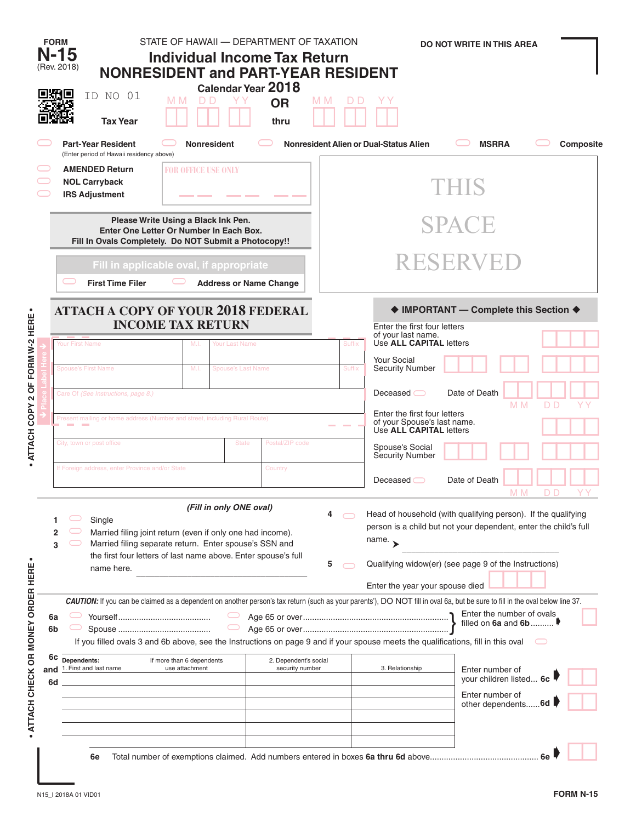|                                    | <b>FORM</b>          | STATE OF HAWAII — DEPARTMENT OF TAXATION<br>$N-15$<br><b>Individual Income Tax Return</b><br>(Rev. 2018)<br><b>NONRESIDENT and PART-YEAR RESIDENT</b>                                                                                                                                                             | <b>DO NOT WRITE IN THIS AREA</b> |                                                                                                                                                                                                                                                      |                                                               |           |  |  |  |  |  |
|------------------------------------|----------------------|-------------------------------------------------------------------------------------------------------------------------------------------------------------------------------------------------------------------------------------------------------------------------------------------------------------------|----------------------------------|------------------------------------------------------------------------------------------------------------------------------------------------------------------------------------------------------------------------------------------------------|---------------------------------------------------------------|-----------|--|--|--|--|--|
|                                    |                      | Calendar Year 2018<br>ID NO 01<br>M M<br>D D<br>ΥY<br><b>OR</b><br><b>Tax Year</b><br>thru                                                                                                                                                                                                                        | M M<br>D                         |                                                                                                                                                                                                                                                      |                                                               |           |  |  |  |  |  |
|                                    |                      | <b>Part-Year Resident</b><br><b>Nonresident</b><br>(Enter period of Hawaii residency above)<br><b>AMENDED Return</b><br><b>FOR OFFICE USE ONLY</b><br><b>NOL Carryback</b>                                                                                                                                        |                                  | Nonresident Alien or Dual-Status Alien                                                                                                                                                                                                               | <b>MSRRA</b>                                                  | Composite |  |  |  |  |  |
|                                    |                      | <b>IRS Adjustment</b><br>Please Write Using a Black Ink Pen.<br>Enter One Letter Or Number In Each Box.<br>Fill In Ovals Completely. Do NOT Submit a Photocopy!!                                                                                                                                                  |                                  |                                                                                                                                                                                                                                                      | THIS<br><b>SPACE</b>                                          |           |  |  |  |  |  |
|                                    |                      | Fill in applicable oval, if appropriate<br><b>First Time Filer</b><br><b>Address or Name Change</b>                                                                                                                                                                                                               |                                  |                                                                                                                                                                                                                                                      | RESERVEE                                                      |           |  |  |  |  |  |
|                                    |                      | <b>ATTACH A COPY OF YOUR 2018 FEDERAL</b>                                                                                                                                                                                                                                                                         |                                  |                                                                                                                                                                                                                                                      | ♦ IMPORTANT - Complete this Section ♦                         |           |  |  |  |  |  |
| - ATTACH COPY 2 OF FORM W-2 HERE   |                      | <b>INCOME TAX RETURN</b><br>Your First Name<br>M.I.<br>Your Last Name                                                                                                                                                                                                                                             | Suffix                           | Enter the first four letters<br>of your last name.<br>Use ALL CAPITAL letters                                                                                                                                                                        |                                                               |           |  |  |  |  |  |
|                                    |                      | <b>Spouse's First Name</b><br>M.I.<br><b>Spouse's Last Name</b>                                                                                                                                                                                                                                                   | <b>Suffix</b>                    | Your Social<br><b>Security Number</b>                                                                                                                                                                                                                |                                                               |           |  |  |  |  |  |
|                                    |                      | Care Of (See Instructions, page 8.)                                                                                                                                                                                                                                                                               |                                  | Deceased $\bigcirc$                                                                                                                                                                                                                                  | Date of Death                                                 |           |  |  |  |  |  |
|                                    |                      | Present mailing or home address (Number and street, including Rural Route)                                                                                                                                                                                                                                        |                                  | Enter the first four letters<br>of your Spouse's last name.<br>Use ALL CAPITAL letters                                                                                                                                                               | M <sub>M</sub>                                                | D D       |  |  |  |  |  |
|                                    |                      | Postal/ZIP code<br>City, town or post office<br><b>State</b>                                                                                                                                                                                                                                                      |                                  | Spouse's Social<br>Security Number                                                                                                                                                                                                                   |                                                               |           |  |  |  |  |  |
|                                    |                      | If Foreign address, enter Province and/or State<br>Country                                                                                                                                                                                                                                                        |                                  | Deceased $\bigcirc$                                                                                                                                                                                                                                  | Date of Death<br>M M                                          | D D       |  |  |  |  |  |
|                                    | 3                    | (Fill in only ONE oval)<br>Single<br>Married filing joint return (even if only one had income).<br>Married filing separate return. Enter spouse's SSN and<br>the first four letters of last name above. Enter spouse's full<br>name here.                                                                         | 5                                | Head of household (with qualifying person). If the qualifying<br>person is a child but not your dependent, enter the child's full<br>name. $\rightarrow$<br>Qualifying widow(er) (see page 9 of the Instructions)<br>Enter the year your spouse died |                                                               |           |  |  |  |  |  |
| . ATTACH CHECK OR MONEY ORDER HERE | 6a<br>6 <sub>b</sub> | CAUTION: If you can be claimed as a dependent on another person's tax return (such as your parents'), DO NOT fill in oval 6a, but be sure to fill in the oval below line 37.<br>If you filled ovals 3 and 6b above, see the Instructions on page 9 and if your spouse meets the qualifications, fill in this oval |                                  |                                                                                                                                                                                                                                                      | Enter the number of ovals<br>filled on $6a$ and $6b$          |           |  |  |  |  |  |
|                                    | 6c<br>and<br>6d      | Dependents:<br>If more than 6 dependents<br>2. Dependent's social<br>1. First and last name<br>use attachment<br>security number                                                                                                                                                                                  |                                  | 3. Relationship                                                                                                                                                                                                                                      | Enter number of<br>your children listed 6c<br>Enter number of |           |  |  |  |  |  |
|                                    |                      | 6e                                                                                                                                                                                                                                                                                                                |                                  |                                                                                                                                                                                                                                                      | other dependents 6d                                           |           |  |  |  |  |  |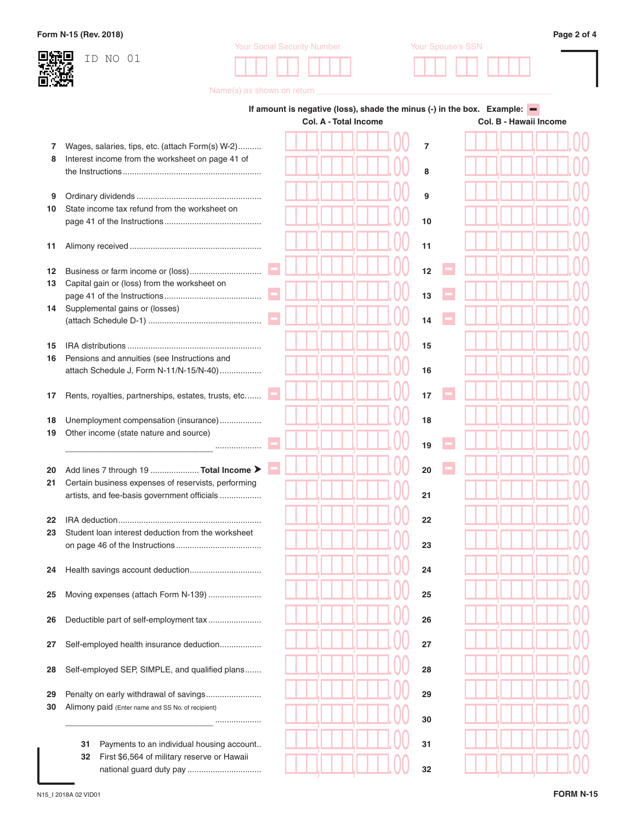## **Form N-15 (Rev. 2018) Page 2 of 4**



Your Social Security Number Your Spouse's SSN **!!! !! !!!! !!! !! !!!!**



Name(s) as shown on return \_\_

|          |                                                                                                      | If amount is negative (loss), shade the minus (-) in the box. Example: $\blacksquare$<br>Col. A - Total Income |  |  |  |  | Col. B - Hawaii Income |                |  |  |  |  |  |  |  |  |
|----------|------------------------------------------------------------------------------------------------------|----------------------------------------------------------------------------------------------------------------|--|--|--|--|------------------------|----------------|--|--|--|--|--|--|--|--|
|          |                                                                                                      |                                                                                                                |  |  |  |  |                        |                |  |  |  |  |  |  |  |  |
| 7<br>8   | Wages, salaries, tips, etc. (attach Form(s) W-2)<br>Interest income from the worksheet on page 41 of |                                                                                                                |  |  |  |  |                        | $\overline{7}$ |  |  |  |  |  |  |  |  |
|          |                                                                                                      |                                                                                                                |  |  |  |  |                        | 8              |  |  |  |  |  |  |  |  |
| 9        |                                                                                                      |                                                                                                                |  |  |  |  |                        | 9              |  |  |  |  |  |  |  |  |
| 10       | State income tax refund from the worksheet on                                                        |                                                                                                                |  |  |  |  |                        |                |  |  |  |  |  |  |  |  |
|          |                                                                                                      |                                                                                                                |  |  |  |  |                        | 10             |  |  |  |  |  |  |  |  |
| 11       |                                                                                                      |                                                                                                                |  |  |  |  |                        | 11             |  |  |  |  |  |  |  |  |
|          |                                                                                                      |                                                                                                                |  |  |  |  |                        | 12             |  |  |  |  |  |  |  |  |
| 12<br>13 | Capital gain or (loss) from the worksheet on                                                         |                                                                                                                |  |  |  |  |                        |                |  |  |  |  |  |  |  |  |
|          |                                                                                                      |                                                                                                                |  |  |  |  |                        | 13             |  |  |  |  |  |  |  |  |
| 14       | Supplemental gains or (losses)                                                                       |                                                                                                                |  |  |  |  |                        | 14             |  |  |  |  |  |  |  |  |
|          |                                                                                                      |                                                                                                                |  |  |  |  |                        |                |  |  |  |  |  |  |  |  |
| 15<br>16 | Pensions and annuities (see Instructions and                                                         |                                                                                                                |  |  |  |  |                        | 15             |  |  |  |  |  |  |  |  |
|          | attach Schedule J, Form N-11/N-15/N-40)                                                              |                                                                                                                |  |  |  |  |                        | 16             |  |  |  |  |  |  |  |  |
|          |                                                                                                      |                                                                                                                |  |  |  |  |                        | 17             |  |  |  |  |  |  |  |  |
| 17       | Rents, royalties, partnerships, estates, trusts, etc                                                 |                                                                                                                |  |  |  |  |                        |                |  |  |  |  |  |  |  |  |
| 18       | Unemployment compensation (insurance)                                                                |                                                                                                                |  |  |  |  |                        | 18             |  |  |  |  |  |  |  |  |
| 19       | Other income (state nature and source)                                                               |                                                                                                                |  |  |  |  |                        | 19             |  |  |  |  |  |  |  |  |
|          |                                                                                                      |                                                                                                                |  |  |  |  |                        |                |  |  |  |  |  |  |  |  |
| 20<br>21 | Add lines 7 through 19  Total Income ><br>Certain business expenses of reservists, performing        |                                                                                                                |  |  |  |  |                        | 20             |  |  |  |  |  |  |  |  |
|          | artists, and fee-basis government officials                                                          |                                                                                                                |  |  |  |  |                        | 21             |  |  |  |  |  |  |  |  |
|          |                                                                                                      |                                                                                                                |  |  |  |  |                        | 22             |  |  |  |  |  |  |  |  |
| 22<br>23 | Student loan interest deduction from the worksheet                                                   |                                                                                                                |  |  |  |  |                        |                |  |  |  |  |  |  |  |  |
|          |                                                                                                      |                                                                                                                |  |  |  |  |                        | 23             |  |  |  |  |  |  |  |  |
| 24       |                                                                                                      |                                                                                                                |  |  |  |  |                        | 24             |  |  |  |  |  |  |  |  |
|          |                                                                                                      |                                                                                                                |  |  |  |  |                        |                |  |  |  |  |  |  |  |  |
| 25       | Moving expenses (attach Form N-139)                                                                  |                                                                                                                |  |  |  |  |                        | 25             |  |  |  |  |  |  |  |  |
| 26       | Deductible part of self-employment tax                                                               |                                                                                                                |  |  |  |  |                        | 26             |  |  |  |  |  |  |  |  |
| 27       | Self-employed health insurance deduction                                                             |                                                                                                                |  |  |  |  |                        | 27             |  |  |  |  |  |  |  |  |
|          |                                                                                                      |                                                                                                                |  |  |  |  |                        |                |  |  |  |  |  |  |  |  |
| 28       | Self-employed SEP, SIMPLE, and qualified plans                                                       |                                                                                                                |  |  |  |  |                        | 28             |  |  |  |  |  |  |  |  |
| 29       | Penalty on early withdrawal of savings                                                               |                                                                                                                |  |  |  |  |                        | 29             |  |  |  |  |  |  |  |  |
| 30       | Alimony paid (Enter name and SS No. of recipient)                                                    |                                                                                                                |  |  |  |  |                        |                |  |  |  |  |  |  |  |  |
|          |                                                                                                      |                                                                                                                |  |  |  |  |                        | 30             |  |  |  |  |  |  |  |  |
|          | Payments to an individual housing account<br>31                                                      |                                                                                                                |  |  |  |  |                        | 31             |  |  |  |  |  |  |  |  |
|          | First \$6,564 of military reserve or Hawaii<br>32                                                    |                                                                                                                |  |  |  |  |                        | 32             |  |  |  |  |  |  |  |  |
|          |                                                                                                      |                                                                                                                |  |  |  |  |                        |                |  |  |  |  |  |  |  |  |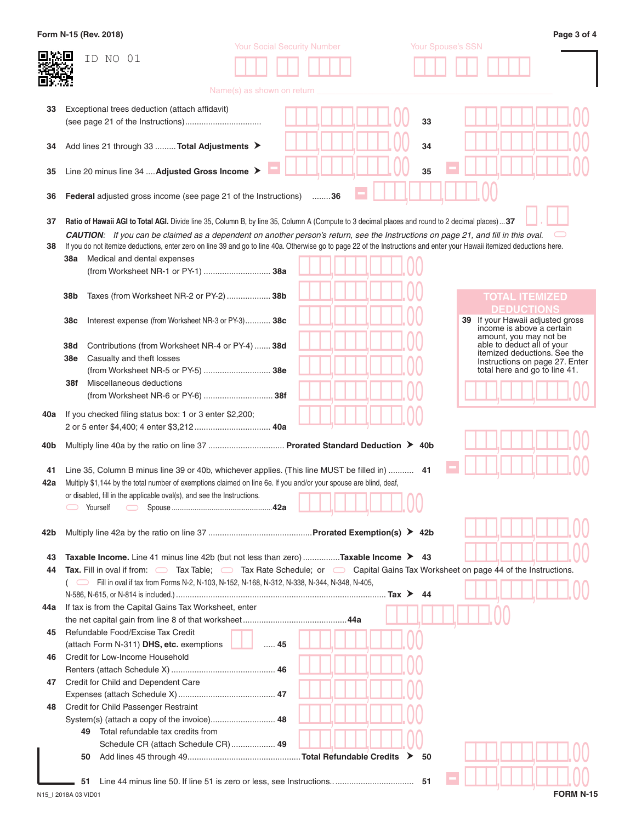|     | Form N-15 (Rev. 2018)                                                                                                                                                   |                                    |    |    |                          | Page 3 of 4                                                     |
|-----|-------------------------------------------------------------------------------------------------------------------------------------------------------------------------|------------------------------------|----|----|--------------------------|-----------------------------------------------------------------|
|     | ID NO 01                                                                                                                                                                | <b>Your Social Security Number</b> |    |    | <b>Your Spouse's SSN</b> |                                                                 |
|     |                                                                                                                                                                         |                                    |    |    |                          |                                                                 |
|     |                                                                                                                                                                         |                                    |    |    |                          |                                                                 |
|     |                                                                                                                                                                         | Name(s) as shown on return         |    |    |                          |                                                                 |
| 33  | Exceptional trees deduction (attach affidavit)                                                                                                                          |                                    |    |    |                          |                                                                 |
|     |                                                                                                                                                                         |                                    |    | 33 |                          |                                                                 |
|     |                                                                                                                                                                         |                                    |    |    |                          |                                                                 |
| 34  | Add lines 21 through 33  Total Adjustments >                                                                                                                            |                                    |    | 34 |                          |                                                                 |
|     |                                                                                                                                                                         |                                    |    |    |                          |                                                                 |
| 35  | Line 20 minus line 34  Adjusted Gross Income >                                                                                                                          |                                    |    | 35 |                          |                                                                 |
|     |                                                                                                                                                                         |                                    |    |    |                          |                                                                 |
| 36  | <b>Federal</b> adjusted gross income (see page 21 of the Instructions)                                                                                                  |                                    | 36 |    |                          |                                                                 |
| 37  | <b>Ratio of Hawaii AGI to Total AGI.</b> Divide line 35, Column B, by line 35, Column A (Compute to 3 decimal places and round to 2 decimal places)37                   |                                    |    |    |                          |                                                                 |
|     | <b>CAUTION:</b> If you can be claimed as a dependent on another person's return, see the Instructions on page 21, and fill in this oval.                                |                                    |    |    |                          |                                                                 |
| 38  | If you do not itemize deductions, enter zero on line 39 and go to line 40a. Otherwise go to page 22 of the Instructions and enter your Hawaii itemized deductions here. |                                    |    |    |                          |                                                                 |
|     | Medical and dental expenses<br>38a                                                                                                                                      |                                    |    |    |                          |                                                                 |
|     | (from Worksheet NR-1 or PY-1)  38a                                                                                                                                      |                                    |    |    |                          |                                                                 |
|     |                                                                                                                                                                         |                                    |    |    |                          |                                                                 |
|     | 38b<br>Taxes (from Worksheet NR-2 or PY-2) 38b                                                                                                                          |                                    |    |    |                          | <b>TOTAL ITEMIZED</b>                                           |
|     |                                                                                                                                                                         |                                    |    |    |                          | <b>DEDUCTIONS</b>                                               |
|     | 38c<br>Interest expense (from Worksheet NR-3 or PY-3) 38c                                                                                                               |                                    |    |    |                          | 39 If your Hawaii adjusted gross<br>income is above a certain   |
|     |                                                                                                                                                                         |                                    |    |    |                          | amount, you may not be<br>able to deduct all of your            |
|     | 38d<br>Contributions (from Worksheet NR-4 or PY-4)  38d<br>38e                                                                                                          |                                    |    |    |                          | itemized deductions. See the                                    |
|     | Casualty and theft losses<br>(from Worksheet NR-5 or PY-5)  38e                                                                                                         |                                    |    |    |                          | Instructions on page 27. Enter<br>total here and go to line 41. |
|     | Miscellaneous deductions<br>38f                                                                                                                                         |                                    |    |    |                          |                                                                 |
|     |                                                                                                                                                                         |                                    |    |    |                          |                                                                 |
|     |                                                                                                                                                                         |                                    |    |    |                          |                                                                 |
| 40a | If you checked filing status box: 1 or 3 enter \$2,200;                                                                                                                 |                                    |    |    |                          |                                                                 |
|     |                                                                                                                                                                         |                                    |    |    |                          |                                                                 |
| 40b | Multiply line 40a by the ratio on line 37  Prorated Standard Deduction > 40b                                                                                            |                                    |    |    |                          |                                                                 |
|     |                                                                                                                                                                         |                                    |    |    |                          |                                                                 |
| 41  | 14. Line 35, Column B minus line 39 or 40b, whichever applies. (This line MUST be filled in)  41                                                                        |                                    |    |    |                          |                                                                 |
| 42a | Multiply \$1,144 by the total number of exemptions claimed on line 6e. If you and/or your spouse are blind, deaf,                                                       |                                    |    |    |                          |                                                                 |
|     | or disabled, fill in the applicable oval(s), and see the Instructions.                                                                                                  |                                    |    |    |                          |                                                                 |
|     | Yourself<br>$\bigcirc$                                                                                                                                                  |                                    |    |    |                          |                                                                 |
| 42b |                                                                                                                                                                         |                                    |    |    |                          |                                                                 |
|     |                                                                                                                                                                         |                                    |    |    |                          |                                                                 |
| 43  | <b>Taxable Income.</b> Line 41 minus line 42b (but not less than zero) <b>Taxable Income <math>\triangleright</math></b> 43                                             |                                    |    |    |                          |                                                                 |
| 44  | Tax. Fill in oval if from: $\Box$ Tax Table; $\Box$ Tax Rate Schedule; or $\Box$ Capital Gains Tax Worksheet on page 44 of the Instructions.                            |                                    |    |    |                          |                                                                 |
|     | Fill in oval if tax from Forms N-2, N-103, N-152, N-168, N-312, N-338, N-344, N-348, N-405,                                                                             |                                    |    |    |                          |                                                                 |
|     |                                                                                                                                                                         |                                    |    | 44 |                          |                                                                 |
| 44a | If tax is from the Capital Gains Tax Worksheet, enter                                                                                                                   |                                    |    |    |                          |                                                                 |
|     |                                                                                                                                                                         |                                    |    |    |                          |                                                                 |
| 45  | Refundable Food/Excise Tax Credit                                                                                                                                       |                                    |    |    |                          |                                                                 |
|     | (attach Form N-311) DHS, etc. exemptions                                                                                                                                | $\ldots$ . 45                      |    |    |                          |                                                                 |
| 46  | Credit for Low-Income Household                                                                                                                                         |                                    |    |    |                          |                                                                 |
|     |                                                                                                                                                                         |                                    |    |    |                          |                                                                 |
| 47  | Credit for Child and Dependent Care                                                                                                                                     |                                    |    |    |                          |                                                                 |
|     |                                                                                                                                                                         |                                    |    |    |                          |                                                                 |
| 48  | Credit for Child Passenger Restraint                                                                                                                                    |                                    |    |    |                          |                                                                 |
|     | Total refundable tax credits from<br>49                                                                                                                                 |                                    |    |    |                          |                                                                 |
|     | Schedule CR (attach Schedule CR) 49                                                                                                                                     |                                    |    |    |                          |                                                                 |
|     | 50                                                                                                                                                                      |                                    |    | 50 |                          |                                                                 |
|     |                                                                                                                                                                         |                                    |    |    |                          |                                                                 |
|     | 51                                                                                                                                                                      |                                    |    |    |                          |                                                                 |
|     | N15_I 2018A 03 VID01                                                                                                                                                    |                                    |    |    |                          | <b>FORM N-15</b>                                                |